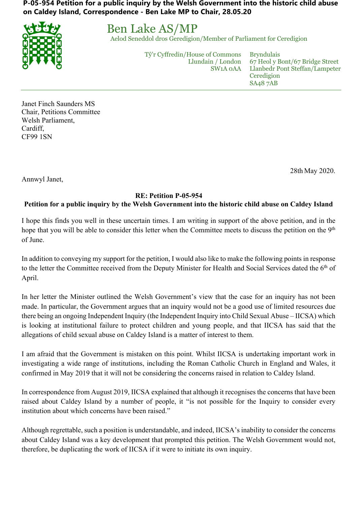**P-05-954 Petition for a public inquiry by the Welsh Government into the historic child abuse on Caldey Island, Correspondence - Ben Lake MP to Chair, 28.05.20**



Ben Lake AS/MP

Aelod Seneddol dros Geredigion/Member of Parliament for Ceredigion

Tŷ'r Cyffredin/House of Commons Llundain / London SW1A 0AA

Bryndulais 67 Heol y Bont/67 Bridge Street Llanbedr Pont Steffan/Lampeter **Ceredigion** SA48 7AB

Janet Finch Saunders MS Chair, Petitions Committee Welsh Parliament, Cardiff, CF99 1SN

28th May 2020.

Annwyl Janet,

## **RE: Petition P-05-954**

## d u **Petition for a public inquiry by the Welsh Government into the historic child abuse on Caldey Island**

I hope this finds you well in these uncertain times. I am writing in support of the above petition, and in the i hope that you will be able to consider this letter when the Committee meets to discuss the petition on the 9<sup>th</sup> of June.

In addition to conveying my support for the petition, I would also like to make the following points in response e to the letter the Committee received from the Deputy Minister for Health and Social Services dated the 6<sup>th</sup> of April.

**Burning Communication** In her letter the Minister outlined the Welsh Government's view that the case for an inquiry has not been n made. In particular, the Government argues that an inquiry would not be a good use of limited resources due there being an ongoing Independent Inquiry (the Independent Inquiry into Child Sexual Abuse – IICSA) which / is looking at institutional failure to protect children and young people, and that IICSA has said that the allegations of child sexual abuse on Caldey Island is a matter of interest to them.

I am afraid that the Government is mistaken on this point. Whilst IICSA is undertaking important work in investigating a wide range of institutions, including the Roman Catholic Church in England and Wales, it ۱, confirmed in May 2019 that it will not be considering the concerns raised in relation to Caldey Island.

In correspondence from August 2019, IICSA explained that although it recognises the concerns that have been .<br>Is raised about Caldey Island by a number of people, it "is not possible for the Inquiry to consider every institution about which concerns have been raised."

Although regrettable, such a position is understandable, and indeed, IICSA's inability to consider the concerns l a about Caldey Island was a key development that prompted this petition. The Welsh Government would not, therefore, be duplicating the work of IICSA if it were to initiate its own inquiry.